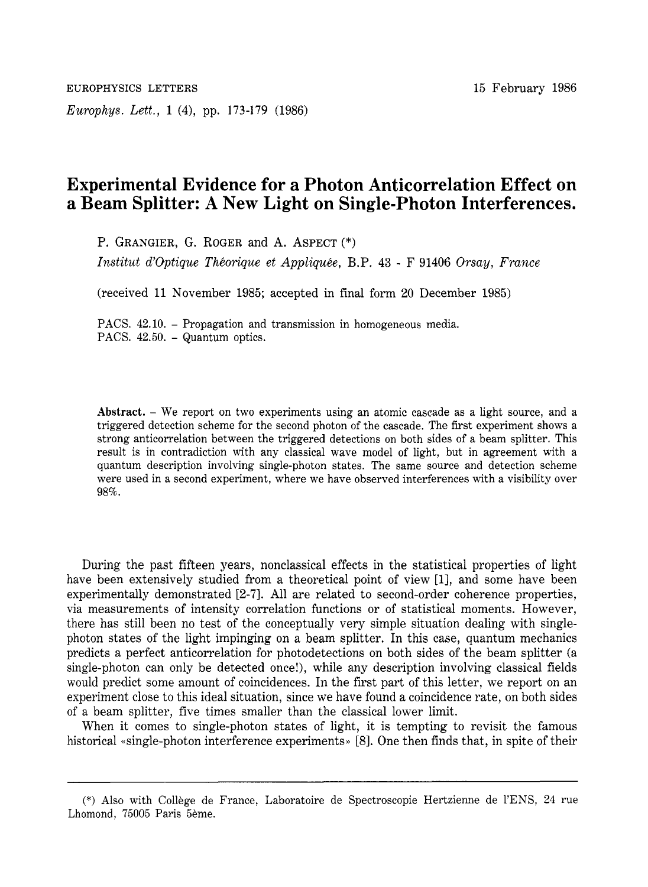*Europhys. Lett.,* **1 (4),** pp. **173-179** (1986)

## **Experimental Evidence for a Photon Anticorrelation Effect on a Beam Splitter: A New Light on Single-Photon Interferences.**

P. GRANGIER, G. ROGER and A. ASPECT (\*)

*Institut d'0ptique Thhorique et Appliquhe,* B.P. **43** - F 91406 *Orsay, France* 

(received 11 November 1985; accepted in final form **20** December 1985)

PACS. 42.10. - Propagation and transmission in homogeneous media. PACS.  $42.50.$  - Quantum optics.

**Abstract.** - We report on two experiments using an atomic cascade as a light source, and a triggered detection scheme for the second photon of the cascade. The first experiment shows a strong anticorrelation between the triggered detections on both sides of a beam splitter. This result is in contradiction with any classical wave model of light, but in agreement with a quantum description involving single-photon states. The same source and detection scheme were used in a second experiment, where we have observed interferences with a visibility over 98%.

During the past fifteen years, nonclassical effects in the statistical properties of light have been extensively studied from a theoretical point of view [1], and some have been experimentally demonstrated **[2-71.** All are related to second-order coherence properties, via measurements of intensity correlation functions or of statistical moments. However, there has still been no test of the conceptually very simple situation dealing with singlephoton states of the light impinging on a beam splitter. In this case, quantum mechanics predicts a perfect anticorrelation for photodetections on both sides of the beam splitter (a single-photon can only be detected once!), while any description involving classical fields would predict some amount of coincidences. In the first part of this letter, we report on an experiment close to this ideal situation, since we have found a coincidence rate, on both sides of a beam splitter, five times smaller than the classical lower limit.

When it comes to single-photon states of light, it is tempting to revisit the famous historical «single-photon interference experiments» [8]. One then finds that, in spite of their

<sup>(\*)</sup> Also with College de France, Laboratoire de Spectroscopie Hertzienne de l'ENS, 24 rue Lhomond, 75005 Paris 5eme.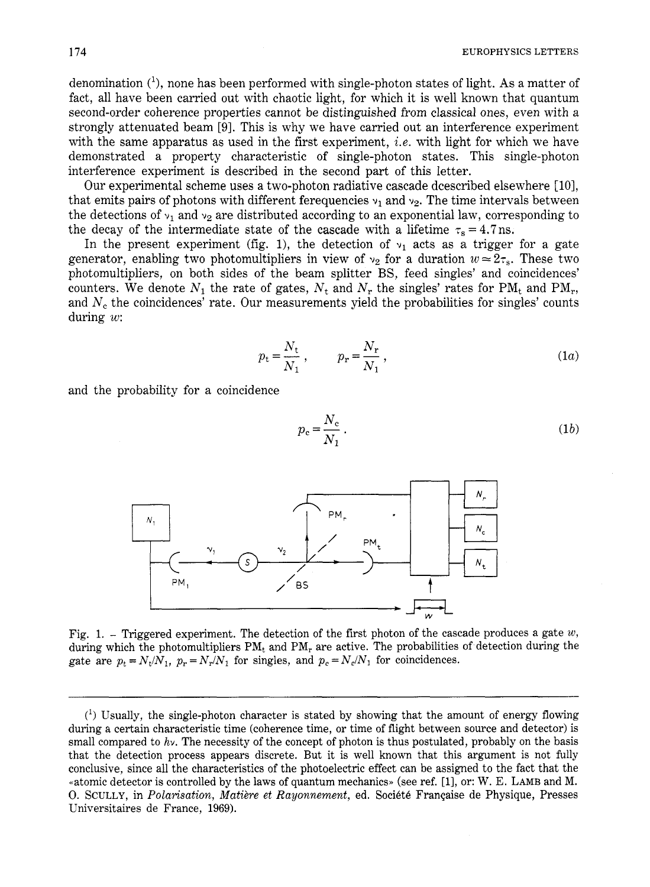$(1b)$ 

denomination  $(1)$ , none has been performed with single-photon states of light. As a matter of fact, all have been carried out with chaotic light, for which it is well known that quantum second-order coherence properties cannot be distinguished from classical ones, even with a strongly attenuated beam [9]. This is why we have carried out an interference experiment with the same apparatus as used in the first experiment, **i.e.** with light for which we have demonstrated a property characteristic of single-photon states. This single-photon interference experiment is described in the second part of this letter.

Our experimental scheme uses a two-photon radiative cascade dcescribed elsewhere [ 101, that emits pairs of photons with different ferequencies  $v_1$  and  $v_2$ . The time intervals between the detections of  $v_1$  and  $v_2$  are distributed according to an exponential law, corresponding to the decay of the intermediate state of the cascade with a lifetime  $\tau_s = 4.7$  ns.

In the present experiment (fig. 1), the detection of  $v_1$  acts as a trigger for a gate generator, enabling two photomultipliers in view of  $v_2$  for a duration  $w \approx 2\tau_s$ . These two photomultipliers, on both sides of the beam splitter BS, feed singles' and coincidences' counters. We denote  $N_1$  the rate of gates,  $N_t$  and  $N_r$  the singles' rates for PM<sub>t</sub> and PM<sub>r</sub>, and  $N_c$  the coincidences' rate. Our measurements yield the probabilities for singles' counts during *w:* 

$$
p_{t} = \frac{N_{t}}{N_{1}}, \qquad p_{r} = \frac{N_{r}}{N_{1}}, \qquad (1a)
$$

and the probability for a coincidence



Fig. 1. - Triggered experiment. The detection of the first photon of the cascade produces a gate *w,*  during which the photomultipliers  $PM_t$  and  $PM_r$  are active. The probabilities of detection during the gate are  $p_t = N_t/N_1$ ,  $p_r = N_r/N_1$  for singles, and  $p_c = N_c/N_1$  for coincidences.

 $(1)$  Usually, the single-photon character is stated by showing that the amount of energy flowing during a certain characteristic time (coherence time, or time of flight between source and detector) is small compared to *hv.* The necessity of the concept of photon is thus postulated, probably on the basis that the detection process appears discrete. But it is well known that this argument is not fully conclusive, since all the characteristics of the photoelectric effect can be assigned to the fact that the «atomic detector is controlled by the laws of quantum mechanics» (see ref. [1], or: W. E. LAMB and M. 0. SCULLY, in *Polarisation, Matière et Rayonnement*, ed. Société Française de Physique, Presses Universitaires de France, 1969).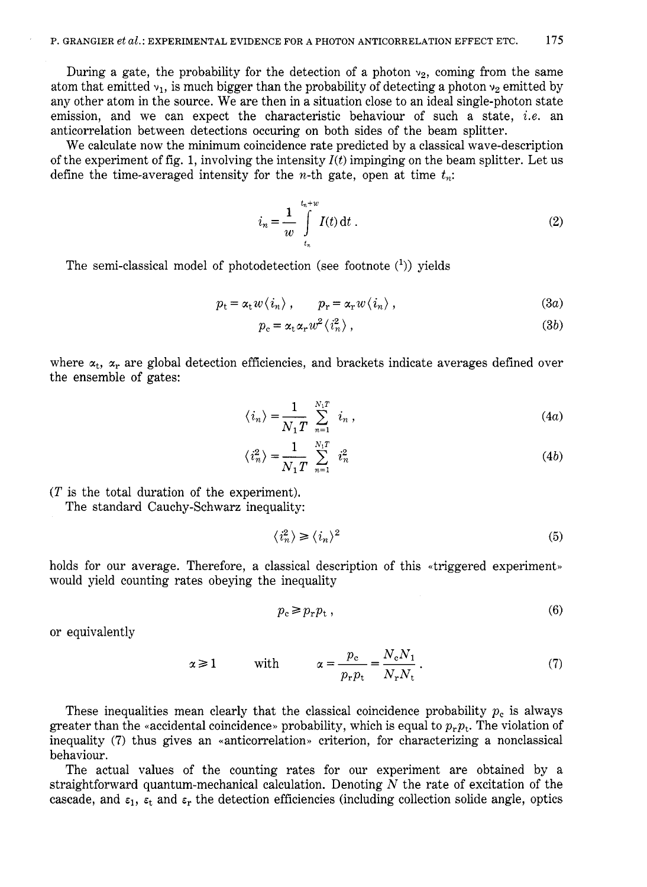During a gate, the probability for the detection of a photon  $v_2$ , coming from the same atom that emitted  $v_1$ , is much bigger than the probability of detecting a photon  $v_2$  emitted by any other atom in the source. We are then in a situation close to an ideal single-photon state emission, and we can expect the characteristic behaviour of such a state, *i.e.* an anticorrelation between detections occuring on both sides of the beam splitter.

We calculate now the minimum coincidence rate predicted by a classical wave-description of the experiment of fig. 1, involving the intensity  $I(t)$  impinging on the beam splitter. Let us define the time-averaged intensity for the *n*-th gate, open at time  $t_n$ .

$$
i_n = \frac{1}{w} \int\limits_{t_n}^{t_n+w} I(t) dt . \tag{2}
$$

The semi-classical model of photodetection (see footnote  $(1)$ ) yields

$$
p_{t} = \alpha_{t} w \langle i_{n} \rangle, \qquad p_{r} = \alpha_{r} w \langle i_{n} \rangle, \qquad (3a)
$$

$$
p_c = \alpha_t \alpha_r w^2 \langle i_n^2 \rangle \,, \tag{3b}
$$

where  $\alpha_t$ ,  $\alpha_r$  are global detection efficiencies, and brackets indicate averages defined over the ensemble of gates:

$$
\langle i_n \rangle = \frac{1}{N_1 T} \sum_{n=1}^{N_1 T} i_n , \qquad (4a)
$$

$$
\langle i_n^2 \rangle = \frac{1}{N_1 T} \sum_{n=1}^{N_1 T} i_n^2 \tag{4b}
$$

 $(T$  is the total duration of the experiment).

The standard Cauchy-Schwarz inequality:

$$
\langle i_n^2 \rangle \ge \langle i_n \rangle^2 \tag{5}
$$

holds for our average. Therefore, a classical description of this «triggered experiment» would yield counting rates obeying the inequality

$$
p_{\rm c} \ge p_{\rm r} p_{\rm t} \tag{6}
$$

or equivalently

$$
\alpha \ge 1 \quad \text{with} \quad \alpha = \frac{p_c}{p_r p_t} = \frac{N_c N_1}{N_r N_t} \,. \tag{7}
$$

These inequalities mean clearly that the classical coincidence probability  $p_c$  is always greater than the «accidental coincidence» probability, which is equal to  $p_r p_t$ . The violation of inequality (7) thus gives an «anticorrelation» criterion, for characterizing a nonclassical behaviour.

The actual values of the counting rates for our experiment are obtained by a straightforward quantum-mechanical calculation. Denoting  $N$  the rate of excitation of the cascade, and  $\varepsilon_1$ ,  $\varepsilon_t$  and  $\varepsilon_r$  the detection efficiencies (including collection solide angle, optics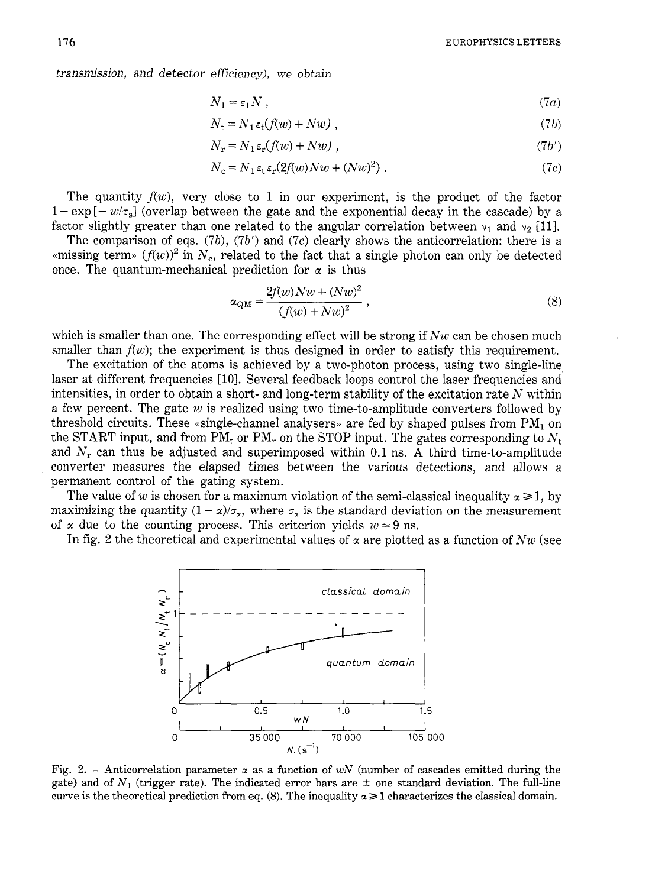transmission, and detector efficiency), we obtain

$$
N_1 = \varepsilon_1 N \tag{7a}
$$

$$
N_{t} = N_{1} \varepsilon_{t}(f(w) + Nw) , \qquad (7b)
$$

$$
N_{\mathbf{r}} = N_1 \varepsilon_{\mathbf{r}}(f(w) + Nw) \tag{7b'}
$$

$$
N_c = N_1 \varepsilon_t \varepsilon_r (2f(w)) Nw + (Nw)^2).
$$
 (7c)

The quantity  $f(w)$ , very close to 1 in our experiment, is the product of the factor  $1-\exp[-w/\tau_{\rm s}]$  (overlap between the gate and the exponential decay in the cascade) by a factor slightly greater than one related to the angular correlation between  $v_1$  and  $v_2$  [11].

The comparison of eqs. *(7b), (7b')* and *(7c)* clearly shows the anticorrelation: there is a  $\epsilon$  missing term»  $(f(w))^2$  in  $N_c$ , related to the fact that a single photon can only be detected once. The quantum-mechanical prediction for  $\alpha$  is thus

$$
\alpha_{\rm QM} = \frac{2f(w)Nw + (Nw)^2}{(f(w) + Nw)^2},
$$
\n(8)

which is smaller than one. The corresponding effect will be strong if *Nw* can be chosen much smaller than  $f(w)$ ; the experiment is thus designed in order to satisfy this requirement.

The excitation of the atoms is achieved by a two-photon process, using two single-line laser at different frequencies [10]. Several feedback loops control the laser frequencies and intensities, in order to obtain a short- and long-term stability of the excitation rate *N* within a few percent. The gate *w* is realized using two time-to-amplitude converters followed by threshold circuits. These  $\alpha$  single-channel analysers. are fed by shaped pulses from PM<sub>1</sub> on the START input, and from  $PM_t$  or  $PM_r$  on the STOP input. The gates corresponding to  $N_t$ and  $N_r$  can thus be adjusted and superimposed within 0.1 ns. A third time-to-amplitude converter measures the elapsed times between the various detections, and allows a permanent control of the gating system.

The value of *w* is chosen for a maximum violation of the semi-classical inequality  $\alpha \geq 1$ , by maximizing the quantity  $(1 - \alpha)/\sigma_{\alpha}$ , where  $\sigma_{\alpha}$  is the standard deviation on the measurement of  $\alpha$  due to the counting process. This criterion yields  $w \approx 9$  ns.

In fig. 2 the theoretical and experimental values of  $\alpha$  are plotted as a function of  $Nw$  (see



Fig. 2. - Anticorrelation parameter  $\alpha$  as a function of *wN* (number of cascades emitted during the gate) and of  $N_1$  (trigger rate). The indicated error bars are  $\pm$  one standard deviation. The full-line curve is the theoretical prediction from eq.  $(8)$ . The inequality  $\alpha \geq 1$  characterizes the classical domain.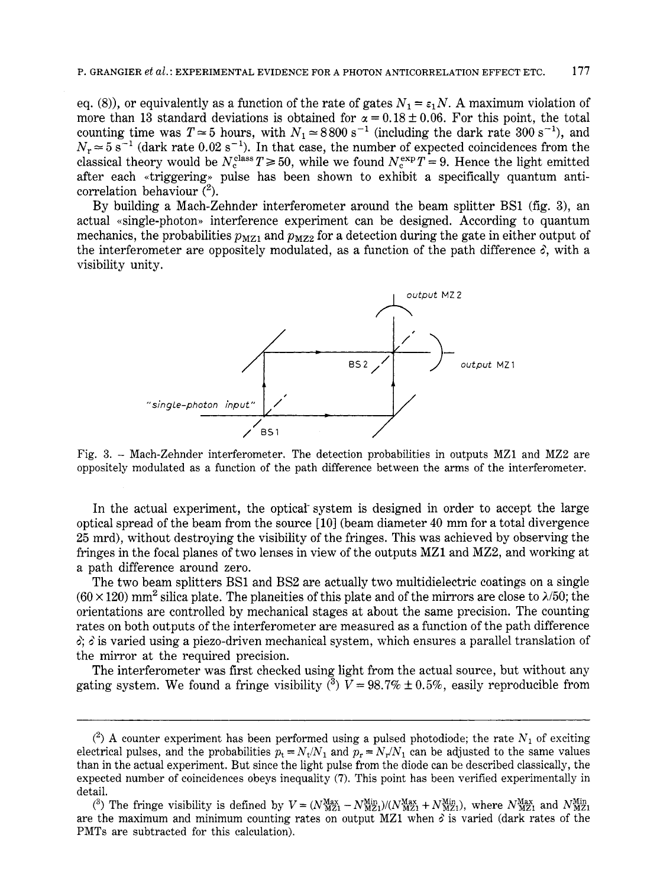eq. (8)), or equivalently as a function of the rate of gates  $N_1 = \varepsilon_1 N$ . A maximum violation of more than 13 standard deviations is obtained for  $\alpha = 0.18 \pm 0.06$ . For this point, the total counting time was  $T \approx 5$  hours, with  $N_1 \approx 8800 \text{ s}^{-1}$  (including the dark rate  $300 \text{ s}^{-1}$ ), and  $N_r \approx 5 \text{ s}^{-1}$  (dark rate 0.02 s<sup>-1</sup>). In that case, the number of expected coincidences from the classical theory would be  $N_c^{class}T \ge 50$ , while we found  $N_c^{exp}T = 9$ . Hence the light emitted after each «triggering» pulse has been shown to exhibit a specifically quantum anticorrelation behaviour *(2).* 

By building a Mach-Zehnder interferometer around the beam splitter BS1 (fig. **3),** an actual «single-photon» interference experiment can be designed. According to quantum mechanics, the probabilities  $p_{MZ1}$  and  $p_{MZ2}$  for a detection during the gate in either output of the interferometer are oppositely modulated, as a function of the path difference  $\delta$ , with a visibility unity.



Fig. 3. - Mach-Zehnder interferometer. The detection probabilities in outputs MZ1 and MZ2 are oppositely modulated as a function of the path difference between the arms of the interferometer.

In the actual experiment, the optical system is designed in order to accept the large optical spread of the beam from the source [lo] (beam diameter **40** mm for a total divergence 25 mrd), without destroying the visibility of the fringes. This was achieved by observing the fringes in the focal planes of two lenses in view of the outputs MZ1 and MZ2, and working at a path difference around zero.

The two beam splitters BS1 and BS2 are actually two multidielectric coatings on a single  $(60 \times 120)$  mm<sup>2</sup> silica plate. The planeities of this plate and of the mirrors are close to  $\lambda/50$ ; the orientations are controlled by mechanical stages at about the same precision. The counting rates on both outputs of the interferometer are measured as a function of the path difference 0'; *B* is varied using a piezo-driven mechanical system, which ensures a parallel translation of the mirror at the required precision.

The interferometer was first checked using light from the actual source, but without any gating system. We found a fringe visibility  $\binom{3}{2}$   $V= 98.7\% \pm 0.5\%$ , easily reproducible from

 $(2)$  A counter experiment has been performed using a pulsed photodiode; the rate  $N_1$  of exciting electrical pulses, and the probabilities  $p_t = N_t/N_1$  and  $p_r = N_r/N_1$  can be adjusted to the same values than in the actual experiment. But since the light pulse from the diode can be described classically, the expected number of coincidences obeys inequality **(7).** This point has been verified experimentally in detail.

<sup>&</sup>lt;sup>(3)</sup> The fringe visibility is defined by  $V = (N_{\text{MZ1}}^{\text{Max}} - N_{\text{MZ1}}^{\text{Min}})/(N_{\text{MZ1}}^{\text{Min}} + N_{\text{MZ1}}^{\text{Min}})$ , where  $N_{\text{MZ1}}^{\text{Min}}$  and  $N_{\text{MZ1}}^{\text{Min}}$ are the maximum and minimum counting rates on output MZ1 when *6* is varied (dark rates of the PMTs are subtracted for this calculation).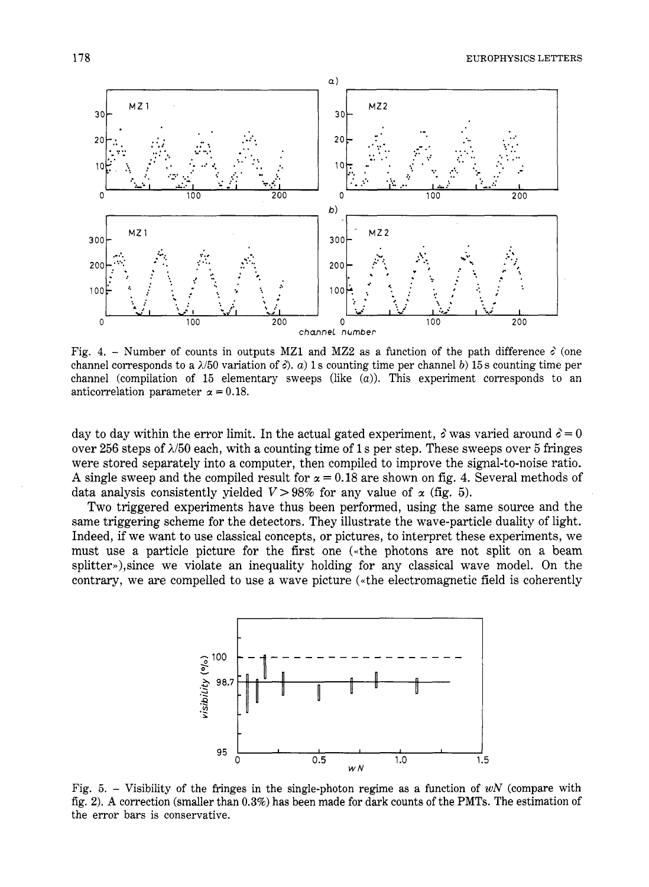

Fig. 4. – Number of counts in outputs MZ1 and MZ2 as a function of the path difference  $\delta$  (one channel corresponds to a  $\lambda/50$  variation of  $\delta$ ). *a*) 1 s counting time per channel *b*) 15 s counting time per channel (compilation of 15 elementary sweeps (like *(a)).* This experiment corresponds to an anticorrelation parameter  $\alpha = 0.18$ .

day to day within the error limit. In the actual gated experiment,  $\delta$  was varied around  $\delta = 0$ over *256* steps of *AI50* each, with a counting time of 1 s per step. These sweeps over *5* fringes were stored separately into a computer, then compiled to improve the signal-to-noise ratio. A single sweep and the compiled result for  $\alpha = 0.18$  are shown on fig. 4. Several methods of data analysis consistently yielded  $V > 98\%$  for any value of  $\alpha$  (fig. 5).

Two triggered experiments have thus been performed, using the same source and the same triggering scheme for the detectors. They illustrate the wave-particle duality of light. Indeed, if we want to use classical concepts, or pictures, to interpret these experiments, we must use a particle picture for the first one («the photons are not split on a beam splitter»),since we violate an inequality holding for any classical wave model. On the contrary, we are compelled to use a wave picture («the electromagnetic field is coherently



Fig. 5. - Visibility of the fringes in the single-photon regime as a function of *WN* (compare with fig. **2). A** correction (smaller than **0.3%)** has been made for dark counts of the PMTs. The estimation of the error bars is conservative.